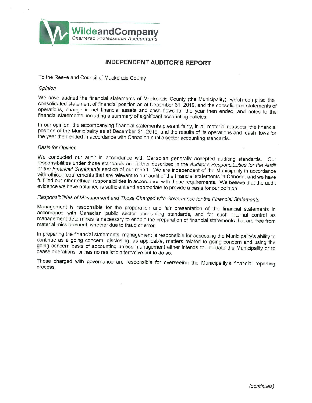

## INDEPENDENT AUDITOR'S REPORT

To the Reeve and Council of Mackenzie County

#### **Opinion**

We have audited the financial statements of Mackenzie County (the Municipality), which comprise the consolidated statement of financial position as at December 31, 2019, and the consolidated statements of operations, change in net financial assets and cash flows for the year then ended, and notes to the financial statements, including a summary of significant accounting policies.

In our opinion, the accompanying financial statements present fairly, in all material respects, the financial position of the Municipality as at December 31, 2019, and the results of its operations and cash flows for the year then ended in accordance with Canadian public sector accounting standards.

#### Basis for Opinion

We conducted our audit in accordance with Canadian generally accepted auditing standards. Our responsibilities under those standards are further described in the Auditor's Responsibilities for the Audit of the Financial Statements section of our report. We are independent of the Municipality in accordance with ethical requirements that are relevant to our audit of the financial statements in Canada, and we have fulfilled our other ethical responsibilities in accordance with these requirements. We believe that the audit evidence we have obtained is sufficient and appropriate to provide a basis for our opinion.

# Responsibilities of Management and Those Charged with Governance for the Financial Statements

Management is responsible for the preparation and fair presentation of the financial statements in accordance with Canadian public sector accounting standards, and for such internal control as management determines is necessary to enable the preparation of financial statements that are free from material misstatement, whether due to fraud or error.

In preparing the financial statements, management is responsible for assessing the Municipality's ability to continue as a going concern, disclosing, as applicable, matters related to going concern and using the going concern basis of accounting unless management either intends to liquidate the Municipality or to cease operations, or has no realistic alternative but to do so.

Those charged with governance are responsible for overseeing the Municipality's financial reporting process.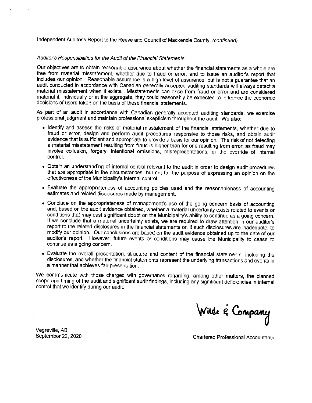Independent Auditor's Report to the Reeve and Council of Mackenzie County (continued)

#### Auditor's Responsibilities for the Audit of the Financial Statements

Our objectives are to obtain reasonable assurance about whether the financial statements as a whole are free from material misstatement, whether due to fraud or error, and to issue an auditor's report that includes our opinion. Reasonable assurance is a high level of assurance, but is not a guarantee that an audit conducted in accordance with Canadian generally accepted auditing standards will always detect a material misstatement when it exists. Misstatements can arise from fraud or error and are considered material if, individually or in the aggregate, they could reasonably be expected to influence the economic decisions of users taken on the basis of these financial statements.

As part of an audit in accordance with Canadian generally accepted auditing standards, we exercise professional judgment and maintain professional skepticism throughout the audit. We also:

- Identify and assess the risks of material misstatement of the financial statements, whether due to fraud or error, design and perform audit procedures responsive to those risks, and obtain audit evidence that is sufficient and appropriate to provide a basis for our opinion. The risk of not detecting a material misstatement resulting from fraud is higher than for one resulting from error, as fraud may involve collusion, forgery, intentional omissions, misrepresentations, or the override of internal control.
- Obtain an understanding of internal control relevant to the audit in order to design audit procedures that are appropriate in the circumstances, but not for the purpose of expressing an opinion on the effectiveness of the Municipality's internal control.
- Evaluate the appropriateness of accounting policies used and the reasonableness of accounting estimates and related disclosures made by management.
- Conclude on the appropriateness of management's use of the going concern basis of accounting and, based on the audit evidence obtained, whether a material uncertainty exists related to events or conditions that may cast significant doubt on the Municipality's ability to continue as a going concern. If we conclude that a material uncertainty exists, we are required to draw attention in our auditor's report to the related disclosures in the financial statements or, if such disclosures are inadequate, to modify our opinion. Our conclusions are based on the audit evidence obtained up to the date of our auditor's report. However, future events or conditions may cause the Municipality to cease to continue as a going concern.
- Evaluate the overall presentation, structure and content of the financial statements, including the disclosures, and whether the financial statements represent the underlying transactions and events in a manner that achieves fair presentation.

We communicate with those charged with governance regarding, among other matters, the planned scope and timing of the audit and significant audit findings, including any significant deficiencies in internal control that we identify during our audit.

Wille & Company

Vegreville, AB

September 22, 2020 Chartered Professional Accountants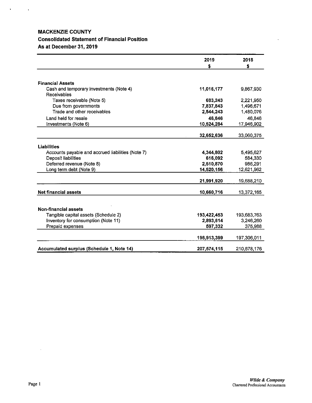## MACKENZIE COUNTY Consolidated Statement of Financial Position As at December 31, 2019

 $\mathcal{O}(\mathcal{A})$  and  $\mathcal{O}(\mathcal{A})$ 

|                                                        | 2019<br>\$  | 2018<br>\$  |
|--------------------------------------------------------|-------------|-------------|
|                                                        |             |             |
| <b>Financial Assets</b>                                |             |             |
| Cash and temporary investments (Note 4)<br>Receivables | 11,016,177  | 9,867,930   |
| Taxes receivable (Note 5)                              | 683,243     | 2,221,950   |
| Due from governments                                   | 7,837,843   | 1,496,671   |
| Trade and other receivables                            | 2,544,243   | 1,480,076   |
| Land held for resale                                   | 46,846      | 46,846      |
| Investments (Note 6)                                   | 10,524,284  | 17,946,902  |
|                                                        | 32,652,636  | 33,060,375  |
|                                                        |             |             |
| Liabilities                                            |             |             |
| Accounts payable and accrued liabilities (Note 7)      | 4,344,802   | 5,495,627   |
| Deposit liabilities                                    | 616,092     | 584,330     |
| Deferred revenue (Note 8)                              | 2,510,870   | 986,291     |
| Long term debt (Note 9)                                | 14,520,156  | 12,621,962  |
|                                                        | 21,991,920  | 19,688,210  |
| <b>Net financial assets</b>                            | 10,660,716  | 13,372,165  |
|                                                        |             |             |
| <b>Non-financial assets</b>                            |             |             |
| Tangible capital assets (Schedule 2)                   | 193,422,453 | 193,683,763 |
| Inventory for consumption (Note 11)                    | 2,893,614   | 3,246,260   |
| Prepaid expenses                                       | 597,332     | 375,988     |
|                                                        | 196,913,399 | 197,306,011 |
| Accumulated surplus (Schedule 1, Note 14)              | 207,574,115 | 210,678,176 |

 $\ddot{\phantom{0}}$ 

 $\hat{\mathcal{A}}$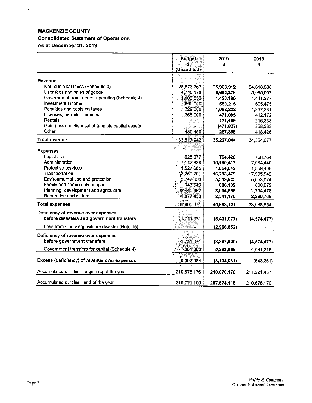## MACKENZIE COUNTY Consolidated Statement of Operations As at December 31, 2019

 $\sim 0.00000$   $\sim 10^{-1}$ 

|                                                                                  | <b>Budget</b><br>(Unaudited) | 2019<br>\$    | 2018<br>\$    |
|----------------------------------------------------------------------------------|------------------------------|---------------|---------------|
| Revenue                                                                          |                              |               |               |
| Net municipal taxes (Schedule 3)                                                 | 25,673,767                   | 25,968,912    | 24,618,668    |
| User fees and sales of goods                                                     | 4,715,173                    | 5,695,378     | 5,055,907     |
| Government transfers for operating (Schedule 4)                                  | 1,103,552                    | 1,423,195     | 1,441,377     |
| Investment income                                                                | 500,000                      | 589,215       | 605,475       |
| Penalties and costs on taxes                                                     | 729,000                      | 1,092,222     | 1,237,381     |
| Licenses, permits and fines                                                      | 366,000                      | 471,095       | 412,172       |
| Rentals                                                                          |                              | 171,499       | 216,338       |
| Gain (loss) on disposal of tangible capital assets                               |                              | (471, 827)    | 358,333       |
| Other                                                                            | 430,450                      | 287,355       | 418,426       |
| <b>Total revenue</b>                                                             | 33,517,942                   | 35,227,044    | 34,364,077    |
| <b>Expenses</b>                                                                  |                              |               |               |
| Legislative                                                                      | 928,077                      | 794,428       | 768,764       |
| Administration                                                                   | 7.112.838                    | 10,189,417    | 7,064,449     |
| Protective services                                                              | 1,527,685                    | 1,824,042     | 1,559,406     |
| Transportation                                                                   | 12,259,701                   | 16,298,479    | 17,995,542    |
| Environmental use and protection                                                 | 3,747,056                    | 5,319,823     | 5,653,074     |
| Family and community support                                                     | 943,649                      | 886,102       | 806,072       |
| Planning, development and agriculture                                            | 3,410,432                    | 3,004,655     | 2,794,478     |
| Recreation and culture                                                           | 1,877,433                    | 2,341,175     | 2,296,769     |
| <b>Total expenses</b>                                                            | 31,806,871                   | 40,658,121    | 38,938,554    |
| Deficiency of revenue over expenses<br>before disasters and government transfers | 1,711,071                    | (5,431,077)   | (4,574,477)   |
| Loss from Chuckegg wildfire disaster (Note 15)                                   |                              | (2,966,852)   |               |
| Deficiency of revenue over expenses<br>before government transfers               | 1,711,071                    | (8,397,929)   | (4, 574, 477) |
| Government transfers for capital (Schedule 4)                                    | 7,381,853                    | 5,293,868     | 4,031,216     |
|                                                                                  |                              |               |               |
| Excess (deficiency) of revenue over expenses                                     | 9,092,924                    | (3, 104, 061) | (543,261)     |
| Accumulated surplus - beginning of the year                                      | 210,678,176                  | 210,678,176   | 211,221,437   |
| Accumulated surplus - end of the year                                            | 219,771,100                  | 207,574,115   | 210,678,176   |

 $\sim$   $\sim$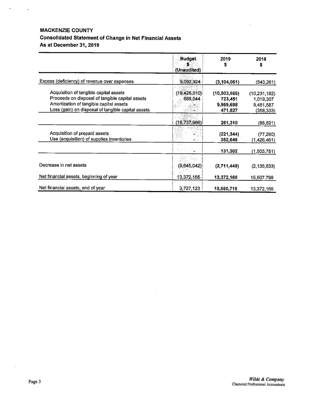## MACKENZIE COUNTY Consolidated Statement of Change in Net Financial Assets As at December 31, 2019

|                                                                                                                                                                                            | <b>Budget</b><br>(Unaudited) | 2019<br>S                                         | 2018<br>s                                              |
|--------------------------------------------------------------------------------------------------------------------------------------------------------------------------------------------|------------------------------|---------------------------------------------------|--------------------------------------------------------|
| Excess (deficiency) of revenue over expenses                                                                                                                                               | 9,092,924                    | (3, 104, 061)                                     | (543,261)                                              |
| Acquisition of tangible capital assets<br>Proceeds on disposal of tangible capital assets<br>Amortization of tangible capital assets<br>Loss (gain) on disposal of tangible capital assets | (19, 426, 010)<br>688,044    | (10, 903, 666)<br>723,451<br>9,969,698<br>471,827 | (10, 231, 182)<br>1,019,307<br>9,481,587<br>(358, 333) |
|                                                                                                                                                                                            | (18, 737, 966)               | 261,310                                           | (88, 621)                                              |
| Acquisition of prepaid assets<br>Use (acquisition) of supplies inventories                                                                                                                 |                              | (221, 344)<br>352,646                             | (77, 290)<br>(1,426,461)                               |
|                                                                                                                                                                                            |                              | 131,302                                           | (1,503,751)                                            |
| Decrease in net assets                                                                                                                                                                     | (9,645,042)                  | (2,711,449)                                       | (2, 135, 633)                                          |
| Net financial assets, beginning of year                                                                                                                                                    | 13,372,165                   | 13,372,165                                        | 15,507,798                                             |
| Net financial assets, end of year                                                                                                                                                          | 3,727,123                    | 10,660,716                                        | 13,372,165                                             |

 $\bar{z}$ 

 $\mathcal{L}$ 

 $\sigma_{\rm{max}}=1$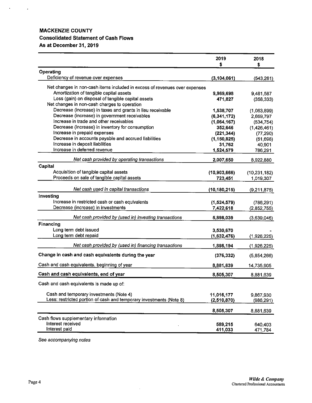## MACKENZIE COUNTY Consolidated Statement of Cash Flows As at December 31, 2019

 $\mathcal{A}^{\text{max}}_{\text{max}}$ 

|                                                                            | 2019<br>\$     | 2018<br>\$     |
|----------------------------------------------------------------------------|----------------|----------------|
|                                                                            |                |                |
| Operating<br>Deficiency of revenue over expenses                           | (3, 104, 061)  | (543,261)      |
|                                                                            |                |                |
| Net changes in non-cash items included in excess of revenues over expenses |                |                |
| Amortization of tangible capital assets                                    | 9,969,698      | 9,481,587      |
| Loss (gain) on disposal of tangible capital assets                         | 471,827        | (358, 333)     |
| Net changes in non-cash charges to operation                               |                |                |
| Decrease (increase) in taxes and grants in lieu receivable                 | 1,538,707      | (1,063,899)    |
| Decrease (increase) in government receivables                              | (6, 341, 172)  | 2,669,797      |
| Increase in trade and other receivables                                    | (1,064,167)    | (534, 754)     |
| Decrease (increase) in inventory for consumption                           | 352,646        | (1,426,461)    |
| Increase in prepaid expenses                                               | (221, 344)     | (77, 290)      |
| Decrease in accounts payable and accrued liabilities                       | (1, 150, 825)  | (51, 698)      |
| Increase in deposit liabilities                                            | 31,762         | 40,901         |
| Increase in deferred revenue                                               | 1,524,579      | 786,291        |
| Net cash provided by operating transactions                                | 2,007,650      | 8,922,880      |
| Capital                                                                    |                |                |
| Acquisition of tangible capital assets                                     | (10,903,666)   | (10, 231, 182) |
| Proceeds on sale of tangible capital assets                                | 723,451        | 1,019,307      |
| Net cash used in capital transactions                                      | (10, 180, 215) | (9,211,875)    |
| Investing                                                                  |                |                |
| Increase in restricted cash or cash equivalents                            | (1,524,579)    | (786, 291)     |
| Decrease (increase) in investments                                         | 7,422,618      | (2,852,755)    |
|                                                                            |                |                |
| Net cash provided by (used in) investing transactions                      | 5,898,039      | (3,639,046)    |
| Financing                                                                  |                |                |
| Long term debt issued                                                      | 3,530,670      |                |
| Long term debt repaid                                                      | (1,632,476)    | (1,926,225)    |
| Net cash provided by (used in) financing transactions                      | 1,898,194      | (1,926,225)    |
| Change in cash and cash equivalents during the year                        | (376, 332)     | (5,854,266)    |
|                                                                            |                |                |
| Cash and cash equivalents, beginning of year                               | 8,881,639      | 14,735,905     |
| Cash and cash equivalents, end of year                                     | 8,505,307      | 8,881,639      |
| Cash and cash equivalents is made up of:                                   |                |                |
| Cash and temporary investments (Note 4)                                    | 11,016,177     | 9,867,930      |
| Less: restricted portion of cash and temporary investments (Note 8)        | (2,510,870)    | (986, 291)     |
|                                                                            |                |                |
|                                                                            | 8,505,307      | 8,881,639      |
| Cash flows supplementary information                                       |                |                |
| Interest received                                                          | 589,215        | 640,403        |
| Interest paid                                                              | 411,033        | 471,784        |

 $\bar{\mathcal{L}}$ 

See accompanying notes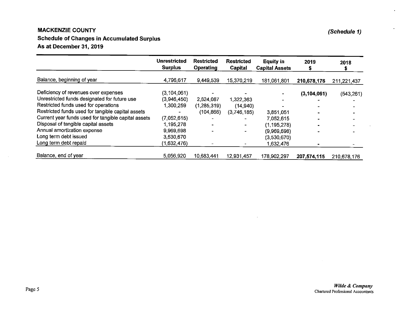#### **MACKENZIE COUNTY** E COUNTY (Schedule 1)

## Schedule of Changes in Accumulated Surplus As at December 31, <sup>2019</sup>

|                                                     | <b>Unrestricted</b><br><b>Surplus</b> | <b>Restricted</b><br><b>Operating</b> | <b>Restricted</b><br>Capital | <b>Equity in</b><br><b>Capital Assets</b> | 2019<br>ж     | 2018        |
|-----------------------------------------------------|---------------------------------------|---------------------------------------|------------------------------|-------------------------------------------|---------------|-------------|
| Balance, beginning of year                          | 4,796,617                             | 9,449,539                             | 15,370,219                   | 181,061,801                               | 210,678,176   | 211,221,437 |
| Deficiency of revenues over expenses                | (3, 104, 061)                         |                                       |                              |                                           | (3, 104, 061) | (543, 261)  |
| Unrestricted funds designated for future use        | (3,946,450)                           | 2,624,087                             | 1,322,363                    |                                           |               |             |
| Restricted funds used for operations                | 1,300,259                             | (1,285,319)                           | (14, 940)                    |                                           |               |             |
| Restricted funds used for tangible capital assets   |                                       | (104, 866)                            | (3,746,185)                  | 3,851,051                                 |               |             |
| Current year funds used for tangible capital assets | (7,052,615)                           |                                       |                              | 7.052,615                                 |               |             |
| Disposal of tangible capital assets                 | 1,195,278                             |                                       |                              | (1, 195, 278)                             |               |             |
| Annual amortization expense                         | 9,969,698                             |                                       |                              | (9,969,698)                               |               |             |
| Long term debt issued                               | 3,530,670                             |                                       |                              | (3,530,670)                               |               |             |
| Long term debt repaid                               | (1,632,476)                           |                                       |                              | 1,632,476                                 |               |             |
| Balance, end of year                                | 5,056,920                             | 10,683,441                            | 12.931.457                   | 178.902,297                               | 207,574,115   | 210,678,176 |

 $\bullet$ 

 $\sim$ 

 $\cdot$ 

 $\sim$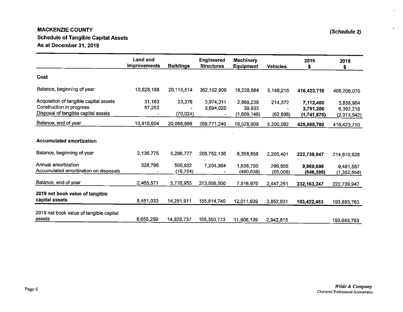#### **MACKENZIE COUNTY E** COUNTY (Schedule Schedule of Tangible Capital Assets As at December 31, <sup>2019</sup>

|                                                                                                           | <b>Land and</b><br><b>Improvements</b> | <b>Buildings</b>    | <b>Engineered</b><br><b>Structures</b> | <b>Machinery</b><br>Equipment      | <b>Vehicles</b>      | 2019<br>\$.                           | 2018<br>\$                            |
|-----------------------------------------------------------------------------------------------------------|----------------------------------------|---------------------|----------------------------------------|------------------------------------|----------------------|---------------------------------------|---------------------------------------|
| Cost                                                                                                      |                                        |                     |                                        |                                    |                      |                                       |                                       |
| Balance, beginning of year                                                                                | 10,828,188                             | 20,115,514          | 362,102,909                            | 18,228,884                         | 5,148,216            | 416,423,710                           | 408,206,070                           |
| Acquisition of tangible capital assets<br>Construction in progress<br>Disposal of tangible capital assets | 31,163<br>57,253                       | 23,376<br>(70, 024) | 3,974,311<br>3,694,020                 | 2,869,238<br>39,933<br>(1,609,146) | 214,372<br>(62, 506) | 7,112,460<br>3,791,206<br>(1,741,676) | 3,838,964<br>6,392,218<br>(2,013,542) |
| Balance, end of year                                                                                      | 10,916,604                             | 20,068,866          | 369,771,240                            | 19,528,909                         | 5,300,082            | 425,585,700                           | 416,423,710                           |
| <b>Accumulated amortization</b>                                                                           |                                        |                     |                                        |                                    |                      |                                       |                                       |
| Balance, beginning of year                                                                                | 2,136,775                              | 5,286,777           | 206,752,136                            | 6,358,858                          | 2,205,401            | 222,739,947                           | 214,610,928                           |
| Annual amortization<br>Accumulated amortization on disposals                                              | 328,796                                | 500.932<br>(10.754) | 7,204,364                              | 1,638,750<br>(480,638)             | 296,856<br>(55,006)  | 9,969,698<br>(546,398)                | 9,481,587<br>(1,352,568)              |
| Balance, end of year                                                                                      | 2,465,571                              | 5,776,955           | 213,956,500                            | 7,516,970                          | 2,447,251            | 232, 163, 247                         | 222,739,947                           |
| 2019 net book value of tangible<br>capital assets                                                         | 8,451,033                              | 14,291,911          | 155,814,740                            | 12,011,939                         | 2,852,831            | 193,422,453                           | 193,683,763                           |
| 2018 net book value of tangible capital<br>assets                                                         | 8,655,299                              | 14,828,737          | 155,350,773                            | 11,906,139                         | 2,942,815            |                                       | 193,683,763                           |

 $\sim$ 

 $\bullet$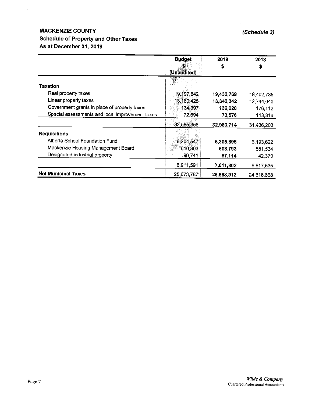## MACKENZIE COUNTY (Schedule 3) Schedule of Property and Other Taxes As at December 31, 2019

 $\alpha$  .

 $\sim 10$ 

|                                                 | <b>Budget</b> | 2019       | 2018       |
|-------------------------------------------------|---------------|------------|------------|
|                                                 |               |            |            |
|                                                 | (Unaudited)   |            |            |
|                                                 |               |            |            |
| <b>Taxation</b>                                 |               |            |            |
| Real property taxes                             | 19,197,842    | 19,430,768 | 18,402,735 |
| Linear property taxes                           | 13,180,425    | 13,340,342 | 12,744,040 |
| Government grants in place of property taxes    | 134,397       | 136,028    | 176,112    |
| Special assessments and local improvement taxes | 72,694        | 73,576     | 113,316    |
|                                                 | 32,585,358    | 32,980,714 | 31,436,203 |
| <b>Requisitions</b>                             |               |            |            |
| Alberta School Foundation Fund                  | 6,204,547     | 6,305,895  | 6,193,622  |
| Mackenzie Housing Management Board              | 610,303       | 608,793    | 581,534    |
| Designated industrial property                  | 96,741        | 97,114     | 42,379     |
|                                                 | 6,911,591     | 7,011,802  | 6,817,535  |
| <b>Net Municipal Taxes</b>                      | 25,673,767    | 25,968,912 | 24,618,668 |

 $\ddot{\phantom{a}}$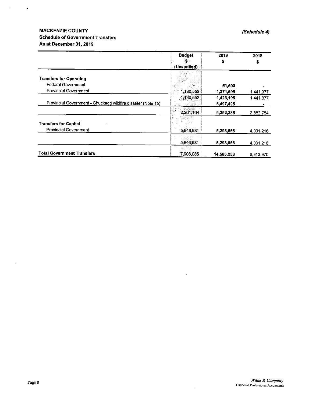## MACKENZIE COUNTY (Schedule 4) Schedule of Government Transfers As at December31, 2019

 $\mathcal{L}(\mathbf{A})$  and  $\mathcal{L}(\mathbf{A})$ 

|                                                              | <b>Budget</b> | 2019       | 2018      |
|--------------------------------------------------------------|---------------|------------|-----------|
|                                                              |               |            | Ş         |
|                                                              | (Unaudited)   |            |           |
| <b>Transfers for Operating</b>                               |               |            |           |
| <b>Federal Government</b>                                    |               | 51,500     |           |
| <b>Provincial Government</b>                                 | 1,130,552     | 1,371,695  | 1,441,377 |
|                                                              | 1.130,552     | 1,423,195  | 1,441.377 |
| Provincial Government - Chuckegg wildfire disaster (Note 15) |               | 6,497,495  |           |
|                                                              | 2.261,104     | 9,292,385  | 2,882,754 |
| <b>Transfers for Capital</b>                                 |               |            |           |
| <b>Provincial Government</b>                                 | 5.646,981     | 5,293,868  | 4 031 216 |
|                                                              | 5,646,981     | 5,293,868  | 4.031.216 |
| <b>Total Government Transfers</b>                            | 7,908,085     | 14,586,253 | 6,913,970 |

 $\hat{\boldsymbol{\theta}}$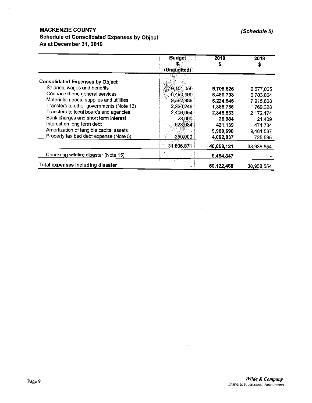## MACKENZIE COUNTY (Schedule 5) Schedule of Consolidated Expenses by Object As at December 31, 2019

 $\mathcal{A}=\{x_1,\ldots,x_n\}$ 

 $\overline{a}$ 

|                                          | <b>Budget</b><br>(Unaudited) | 2019       | 2018       |
|------------------------------------------|------------------------------|------------|------------|
| <b>Consolidated Expenses by Object</b>   |                              |            |            |
| Salaries, wages and benefits             | 10, 101, 055                 | 9,709.526  | 9,677,005  |
| Contracted and general services          | 6 490 490                    | 6,480,793  | 6,703,864  |
| Materials, goods, supplies and utilities | 9,582,989                    | 6,224,545  | 7,915,808  |
| Transfers to other governments (Note 13) | 2,330,249                    | 1,385,766  | 1,769,328  |
| Transfers to local boards and agencies   | 2.406.054                    | 2,346,833  | 2,172,174  |
| Bank charges and short term interest     | 23,000                       | 26,984     | 21,409     |
| Interest on long term debt               | 623,034                      | 421,139    | 471,784    |
| Amortization of tangible capital assets  |                              | 9,969,698  | 9,481,587  |
| Property tax bad debt expense (Note 5)   | 250,000                      | 4,092,837  | 725,595    |
|                                          | 31,806,871                   | 40,658,121 | 38,938,554 |
| Chuckegg wildfire disaster (Note 15)     |                              | 9,464,347  |            |
| <b>Total expenses including disaster</b> |                              | 50,122,468 | 38,938,554 |

 $\bar{u}$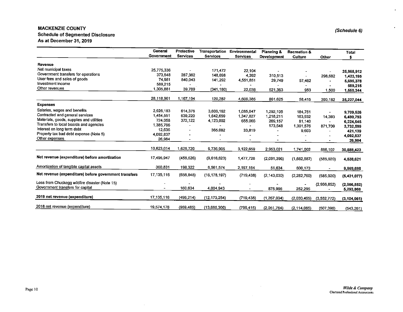#### MACKENZIE COUNTY Schedule of Segmented Disclosure (Schedule 6) and Schedule 6) and Schedule 6) and Schedule 6) and Schedule 6) As at December 31, <sup>2019</sup>

|                                                                                    | General           | Protective               | Transportation           | Environmental   | Planning &               | <b>Recreation &amp;</b> |                          | <b>Total</b>             |
|------------------------------------------------------------------------------------|-------------------|--------------------------|--------------------------|-----------------|--------------------------|-------------------------|--------------------------|--------------------------|
|                                                                                    | <b>Government</b> | <b>Services</b>          | <b>Services</b>          | <b>Services</b> | Development              | Culture                 | Other                    | s                        |
| Revenue                                                                            |                   |                          |                          |                 |                          |                         |                          |                          |
| Net municipal taxes                                                                | 25.775,336        |                          |                          |                 |                          |                         |                          |                          |
| Government transfers for operations                                                | 373,548           | 287,362                  | 171,472                  | 22.104          | $\overline{\phantom{a}}$ |                         |                          | 25,968,912               |
| User fees and sales of goods                                                       | 74,981            | 840,043                  | 148,698                  | 4,392           | 310.513                  |                         | 298,682                  | 1,423,195                |
| Investment income                                                                  | 589,215           |                          | 141,292                  | 4,551,851       | 29,749                   | 57,462                  |                          | 5,695,378                |
| Other revenues                                                                     | 1.305,881         | 39.789                   | $\overline{\phantom{a}}$ |                 |                          |                         |                          | 589,215                  |
|                                                                                    |                   |                          | (341,180)                | 22,038          | 521,363                  | 953                     | 1,500                    | 1,550,344                |
|                                                                                    | 28,118,961        | 1,167,194                | 120,282                  | 4,600,385       | 861,625                  | 58,415                  | 300,182                  | 35,227,044               |
| <b>Expenses</b>                                                                    |                   |                          |                          |                 |                          |                         |                          |                          |
| Salaries, wages and benefits                                                       | 2.926,183         | 614,378                  | 3,606,162                | 1,085,947       | 1,292,105                | 184,751                 |                          | 9,709,526                |
| Contracted and general services                                                    | 1,454,551         | 639.220                  | 1,642,659                | 1.347,827       | 1,218,211                | 163,932                 | 14,393                   |                          |
| Materials, goods, supplies and utilities                                           | 724,058           | 372,122                  | 4,123,002                | 655,066         | 269,157                  | 81,140                  |                          | 6,480,793<br>6,224,545   |
| Transfers to local boards and agencies                                             | 1.385,766         |                          | $\blacksquare$           |                 | 173,548                  | 1,301,576               | 871,709                  |                          |
| Interest on long term debt                                                         | 12,635            | $\blacksquare$           | 365,082                  | 33,819          |                          | 9,603                   |                          | 3,732,599<br>421,139     |
| Property tax bad debt expense (Note 5)                                             | 4,092,837         |                          |                          |                 |                          |                         |                          |                          |
| Other expenses                                                                     | 26,984            | $\overline{\phantom{0}}$ |                          |                 |                          | $\bullet$               |                          | 4,092,837<br>26,984      |
|                                                                                    |                   |                          |                          |                 |                          |                         |                          |                          |
|                                                                                    | 10.623,014        | 1,625,720                | 9.736,905                | 3,122,659       | 2,953,021                | 1,741,002               | 886,102                  | 30,688,423               |
| Net revenue (expenditure) before amortization                                      | 17.495,947        | (458, 526)               | (9.616, 623)             | 1,477,726       | (2,091,396)              | (1,682,587)             | (585, 920)               | 4,538,621                |
| Amortization of tangible capital assets                                            | 360,831           | 198,322                  | 6.561,574                | 2,197,164       | 51,634                   | 600,173                 | $\overline{\phantom{a}}$ | 9,969,698                |
| Net revenue (expenditure) before government transfers                              | 17,135,116        | (656, 848)               | (16, 178, 197)           | (719.438)       | (2, 143, 030)            | (2,282,760)             | (585, 920)               | (5,431,077)              |
| Loss from Chuckegg wildfire disaster (Note 15)<br>Government transfers for capital |                   | 160.634                  | 4.004,943                |                 | 875.996                  | 252,295                 | (2,966,852)              | (2,966,852)<br>5,293,868 |
| 2019 net revenue (expenditure)                                                     | 17, 135, 116      | (496, 214)               | (12, 173, 254)           | (719, 438)      | (1, 267, 034)            | (2,030,465)             | (3,552,772)              | (3, 104, 061)            |
| 2018 net revenue (expenditure)                                                     | 19,574,178        | (959, 485)               | (13,685,300)             | (799, 415)      | (2,051,764)              | (2, 114, 085)           | (507, 390)               | (543, 261)               |

 $\sim$ 

 $\omega$ 

 $\bullet$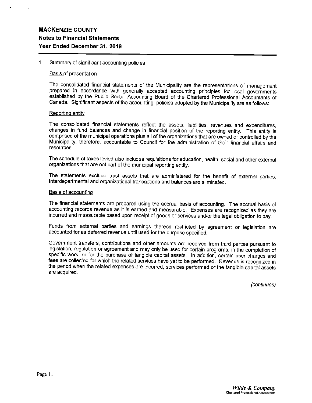#### $1.$ Summary of significant accounting policies

#### Basis of presentation

The consolidated financial statements of the Municipality are the representations of management prepared in accordance with generally accepted accounting principles for local governments established by the Public Sector Accounting Board of the Chartered Professional Accountants of Canada. Significant aspects of the accounting policies adopted by the Municipality are as follows:

#### Reporting entity

The consolidated financial statements reflect the assets, liabilities, revenues and expenditures, changes in fund balances and change in financial position of the reporting entity. This entity is comprised of the municipal operations plus all of the organizations that are owned or controlled by the Municipality, therefore, accountable to Council for the administration of their financial affairs and resources.

The schedule of taxes levied also includes requisitions for education, health, social and other external organizations that are not part of the municipal reporting entity.

The statements exclude trust assets that are administered for the benefit of external parties. Interdepartmental and organizational transactions and balances are eliminated.

#### Basis of accounting

The financial statements are prepared using the accrual basis of accounting. The accrual basis of accounting records revenue as it is earned and measurable. Expenses are recognized as they are incurred and measurable based upon receipt of goods or services and/or the legal obligation to pay.

Funds from external parties and earnings thereon restricted by agreement or legislation are accounted for as deferred revenue until used for the purpose specified.

Government transfers, contributions and other amounts are received from third parties pursuant to legislation, regulation or agreement and may only be used for certain programs, in the completion of specific work, or for the purchase of tangible capital assets. In addition, certain user charges and fees are collected for which the related services have yet to be performed. Revenue is recognized in the period when the related expenses are incurred, services performed or the tangible capital assets are acquired.

(continues)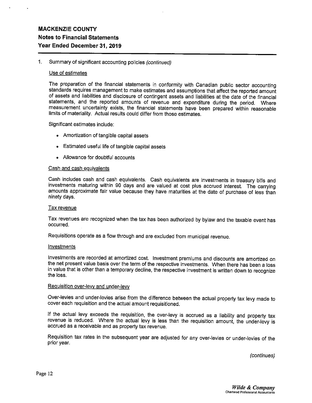#### Summary of significant accounting policies (continued)  $1<sup>1</sup>$

#### Use of estimates

The preparation of the financial statements in conformity with Canadian public sector accounting standards requires management to make estimates and assumptions that affect the reported amount of assets and liabilities and disclosure of contingent assets and liabilities at the date of the financial statements, and the reported amounts of revenue and expenditure during the period. Where measurement uncertainty exists, the financial statements have been prepared within reasonable limits of materiality. Actual results could differ from those estimates.

Significant estimates include:

- Amortization of tangible capital assets
- Estimated useful life of tangible capital assets
- Allowance for doubtful accounts

#### Cash and cash equivalents

Cash includes cash and cash equivalents. Cash equivalents are investments in treasury bills and investments maturing within 90 days and are valued at cost plus accrued interest. The carrying amounts approximate fair value because they have maturities at the date of purchase of less than ninety days.

#### **Tax revenue**

Tax revenues are recognized when the tax has been authorized by bylaw and the taxable event has occurred.

Requisitions operate as a flow through and are excluded from municipal revenue.

#### Investments

Investments are recorded at amortized cost. Investment premiums and discounts are amortized on the net present value basis over the term of the respective investments. When there has been a loss in value that is other than a temporary decline, the respective investment is written down to recognize the loss.

#### Requisition over-levy and under-levy

Over-levies and under-levies arise from the difference between the actual property tax levy made to cover each requisition and the actual amount requisitioned.

If the actual levy exceeds the requisition, the over-levy is accrued as a liability and property tax revenue is reduced. Where the actual levy is less than the requisition amount, the under-levy is accrued as a receivable and as property tax revenue.

Requisition tax rates in the subsequent year are adjusted for any over-levies or under-levies of the prior year.

(continues)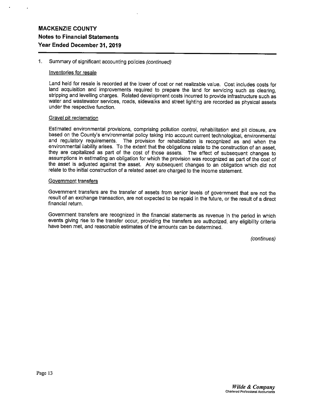#### 1. Summary of significant accounting policies (continued)

#### Inventories for resale

Land held for resale is recorded at the lower of cost or net realizable value. Cost includes costs for land acquisition and improvements required to prepare the land for servicing such as clearing, stripping and levelling charges. Related development costs incurred to provide infrastructure such as water and wastewater services, roads, sidewalks and street lighting are recorded as physical assets under the respective function.

#### Gravel pit reclamation

Estimated environmental provisions, comprising pollution control, rehabilitation and pit closure, are based on the County's environmental policy taking into account current technological, environmental and regulatory requirements. The provision for rehabilitation is recognized as and when the environmental liability arises. To the extent that the obligations relate to the construction of an asset, they are capitalized as part of the cost of those assets. The effect of subsequent changes to assumptions in estimating an obligation for which the provision was recognized as part of the cost of the asset is adjusted against the asset. Any subsequent changes to an obligation which did not relate to the initial construction of a related asset are charged to the income statement.

#### Government transfers

Government transfers are the transfer of assets from senior levels of government that are not the result of an exchange transaction, are not expected to be repaid in the future, or the result of a direct financial return.

Government transfers are recognized in the financial statements as revenue in the period in which events giving rise to the transfer occur, providing the transfers are authorized, any eligibility criteria have been met, and reasonable estimates of the amounts can be determined.

(continues)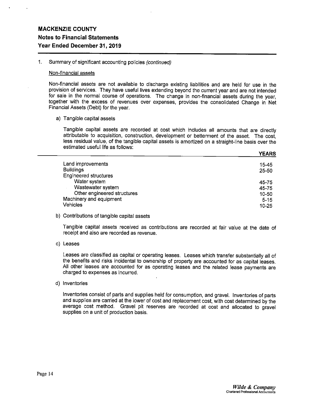1. Summary of significant accounting policies (continued)

#### Non-financial assets

Non-financial assets are not available to discharge existing liabilities and are held for use in the provision of services. They have useful lives extending beyond the current year and are not intended for sale in the normal course of operations. The change in non-financial assets during the year, together with the excess of revenues over expenses, provides the consolidated Change in Net Financial Assets (Debt) for the year.

a) Tangible capital assets

Tangible capital assets are recorded at cost which includes all amounts that are directly attributable to acquisition, construction, development or betterment of the asset. The cost, less residual value, of the tangible capital assets is amortized on a straight-line basis over the estimated useful life as follows:

| Land improvements           | 15-45     |
|-----------------------------|-----------|
| <b>Buildings</b>            | $25 - 50$ |
| Engineered structures       |           |
| Water system                | 45-75     |
| Wastewater system           | 45-75     |
| Other engineered structures | 10-50     |
| Machinery and equipment     | $5 - 15$  |
| <b>Vehicles</b>             | $10 - 25$ |
|                             |           |

b) Contributions of tangible capital assets

Tangible capital assets received as contributions are recorded at fair value at the date of receipt and also are recorded as revenue.

c) Leases

Leases are classified as capital or operating leases. Leases which transfer substantially all of the benefits and risks incidental to ownership of property are accounted for as capital leases. All other leases are accounted for as operating leases and the related lease payments are charged to expenses as incurred.

d) Inventories

Inventories consist of parts and supplies held for consumption, and gravel. Inventories of parts and supplies are carried at the lower of cost and replacement cost, with cost determined by the average cost method. Gravel pit reserves are recorded at cost and allocated to gravel supplies on a unit of production basis.

**YEARS**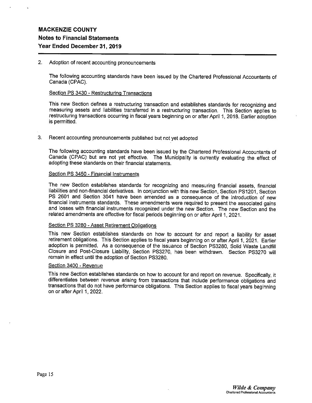#### 2. Adoption of recent accounting pronouncements

The following accounting standards have been issued by the Chartered Professional Accountants of Canada (CPAC).

#### Section PS 3430 - Restructuring Transactions

This new Section defines a restructuring transaction and establishes standards for recognizing and measuring assets and liabilities transferred in a restructuring transaction. This Section applies to restructuring transactions occurring in fiscal years beginning on or after April 1, 2018. Earlier adoption is permitted.

#### 3. Recent accounting pronouncements published but not yet adopted

The following accounting standards have been issued by the Chartered Professional Accountants of Canada (CPAC) but are not yet effective. The Municipality is currently evaluating the effect of adopting these standards on their financial statements.

#### Section PS 3450 - Financial Instruments

The new Section establishes standards for recognizing and measuring financial assets, financial liabilities and non-financial derivatives. In conjunction with this new Section, Section PS12O1, Section PS 2601 and Section 3041 have been amended as a consequence of the introduction of new financial instruments standards. These amendments were required to present the associated gains and losses with financial instruments recognized under the new Section. The new Section and the related amendments are effective for fiscal periods beginning on or after April 1, 2021.

#### Section PS 3280 - Asset Retirement Obligations

This new Section establishes standards on how to account for and report a liability for asset retirement obligations. This Section applies to fiscal years beginning on or after April 1, 2021. Earlier adoption is permitted. As a consequence of the issuance of Section PS3280, Solid Waste Landfill Closure and Post-Closure Liability, Section PS3270, has been withdrawn. Section PS3270 will remain in effect until the adoption of Section PS3280.

#### Section 3400 - Revenue

This new Section establishes standards on how to account for and report on revenue. Specifically, it differentiates between revenue arising from transactions that include performance obligations and transactions that do not have performance obligations. This Section applies to fiscal years beginning on or after April 1, 2022.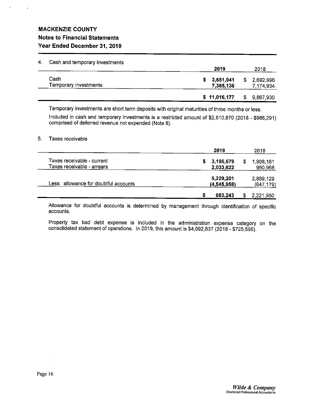$\cdot$ 

| 4. | Cash and temporary investments |                        |    | 2018                   |  |  |
|----|--------------------------------|------------------------|----|------------------------|--|--|
|    |                                | 2019                   |    |                        |  |  |
|    | Cash<br>Temporary investments  | 3,651,041<br>7,365,136 | S. | 2,692,996<br>7,174,934 |  |  |
|    |                                | \$11,016,177           | \$ | 9,867,930              |  |  |

Temporary investments are short term deposits with original maturities of three months or less.

Included in cash and temporary investments is a restricted amount of \$2,510,870 (2018 - \$986,291) comprised of deferred revenue not expended (Note 8).

#### 5. Taxes receivable

|                                       | 2019          | 2018       |
|---------------------------------------|---------------|------------|
| Taxes receivable - current            | 3,195,579     | 1,908,161  |
| Taxes receivable - arrears            | 2,033,622     | 960,968    |
|                                       | 5,229,201     | 2,869,129  |
| Less: allowance for doubtful accounts | (4, 545, 958) | (647, 179) |
|                                       | 683,243       | 2,221,950  |

Allowance for doubtful accounts is determined by management through identification of specific accounts.

Property tax bad debt expense is included in the administration expense category on the consolidated statement of operations. In 2019, this amount is \$4,092,837 (2018- \$725,595).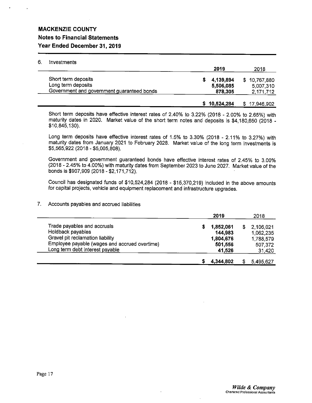### MACKENZIE COUNTY

## Notes to Financial Statements Year Ended December 31, 2019

#### 6. Investments

|                                                                                         | 2019                              | 2018                                   |
|-----------------------------------------------------------------------------------------|-----------------------------------|----------------------------------------|
| Short term deposits<br>Long term deposits<br>Government and government guaranteed bonds | 4,139,894<br>5,506,085<br>878,305 | \$10,767,880<br>5,007,310<br>2,171,712 |
|                                                                                         | \$10,524,284                      | \$17,946,902                           |

Short term deposits have effective interest rates of 2.40% to 3.22% (2018 - 2.00% to 2.65%) with maturity dates in 2020. Market value of the short term notes and deposits is \$4,180,650 (2018 - \$10,845,130).

Long term deposits have effective interest rates of 1.5% to 3.30% (2018 - 2.11% to 3.27%) with maturity dates from January 2021 to February 2028. Market value of the long term investments is \$5,565,922 (2018- \$5,005,808).

Government and government guaranteed bonds have effective interest rates of 2.45% to 3.00% (2018 - 2.45% to 4.00%) with maturity dates from September 2023 to June 2027. Market value of the bonds is \$907,909 (2018 -\$2,171,712).

Council has designated funds of \$10,524,284 (2018 - \$15,370,219) included in the above amounts for capital projects, vehicle and equipment replacement and infrastructure upgrades.

7. Accounts payables and accrued liabilities

|                                               | 2019      | 2018      |
|-----------------------------------------------|-----------|-----------|
| Trade payables and accruals                   | 1,852,061 | 2,106,021 |
| Holdback payables                             | 144,983   | 1,062,235 |
| Gravel pit reclamation liability              | 1,804,676 | 1,788,579 |
| Employee payable (wages and accrued overtime) | 501,556   | 507,372   |
| Long term debt interest payable               | 41,526    | 31,420    |
|                                               | 4,344,802 | 5,495,627 |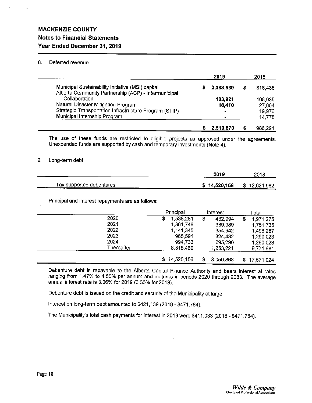### 8. Deferred revenue

|                                                                                                           | 2019      | 2018    |
|-----------------------------------------------------------------------------------------------------------|-----------|---------|
| Municipal Sustainability Initiative (MSI) capital<br>Alberta Community Partnership (ACP) - Intermunicipal | 2,388,539 | 816,438 |
| Collaboration                                                                                             | 103.921   | 108,035 |
| Natural Disaster Mitigation Program                                                                       | 18,410    | 27,064  |
| Strategic Transportation Infrastructure Program (STIP)                                                    |           | 19,976  |
| Municipal Internship Program                                                                              |           | 14,778  |
|                                                                                                           | 2.510.870 | 986.291 |

The use of these funds are restricted to eligible projects as approved under the agreements. Unexpended funds are supported by cash and temporary investments (Note 4).

#### 9. Long-term debt

|                          | 2019         | 2018         |
|--------------------------|--------------|--------------|
| Tax supported debentures | \$14,520,156 | \$12,621,962 |

Principal and interest repayments are as follows:

|            | Principal       | Interest        |   | Total        |
|------------|-----------------|-----------------|---|--------------|
| 2020       | \$<br>1,538,281 | \$<br>432.994   | S | 1,971,275    |
| 2021       | 1,361,746       | 389,989         |   | 1,751,735    |
| 2022       | 1 141,345       | 354.942         |   | 1,496,287    |
| 2023       | 965,591         | 324 432         |   | 1,290,023    |
| 2024       | 994,733         | 295,290         |   | 1,290,023    |
| Thereafter | 8.518,460       | 1,253,221       |   | 9,771,681    |
|            | \$14,520,156    | \$<br>3,050,868 |   | \$17,571,024 |

Debenture debt is repayable to the Alberta Capital Finance Authority and bears interest at rates ranging from 1.47% to 4.50% per annum and matures in periods 2020 through 2033. The average annual interest rate is 3.06% for 2019 (3.36% for 2018).

 $\mathbb{R}^2$ 

Debenture debt is issued on the credit and security of the Municipality at large.

Interest on long-term debt amounted to \$421,139 (2018- \$471,784).

The Municipality's total cash payments for interest in 2019 were \$411,033 (2018- \$471,784).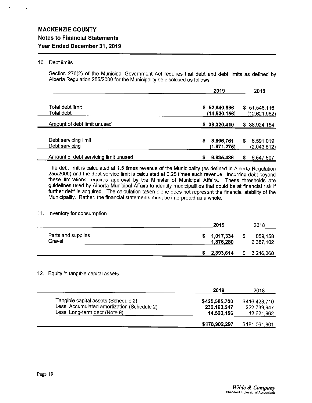#### 10. Debt limits

Section 276(2) of the Municipal Government Act requires that debt and debt limits as defined by Alberta Regulation 255/2000 for the Municipality be disclosed as follows:

|                                        | 2019                           | 2018                           |
|----------------------------------------|--------------------------------|--------------------------------|
| Total debt limit<br>Total debt         | \$52,840,566<br>(14, 520, 156) | \$51,546,116<br>(12,621,962)   |
| Amount of debt limit unused            | \$38,320,410                   | \$38,924,154                   |
| Debt servicing limit<br>Debt servicing | 8,806,761<br>s<br>(1,971,275)  | 8,591,019<br>\$<br>(2,043,512) |
| Amount of debt servicing limit unused  | 6,835,486<br>s.                | 6.547.507<br>S.                |

The debt limit is calculated at 1.5 times revenue of the Municipality (as defined in Alberta Regulation 255/2000) and the debt service limit is calculated at 0.25 times such revenue. Incurring debt beyond these limitations requires approval by the Minister of Municipal Affairs. These thresholds are guidelines used by Alberta Municipal Affairs to identify municipalities that could be at financial risk if further debt is acquired. The calculation taken alone does not represent the financial stability of the Municipality. Rather, the financial statements must be interpreted as a whole.

#### 11. Inventory for consumption

|                              | 2019                   |   | 2018                 |
|------------------------------|------------------------|---|----------------------|
| Parts and supplies<br>Gravel | 1,017,334<br>1,876,280 | S | 859,158<br>2,387,102 |
|                              | 2,893,614              |   | 3,246,260            |

#### 12. Equity in tangible capital assets

|                                                                                                                      | 2019                                       | 2018                                       |
|----------------------------------------------------------------------------------------------------------------------|--------------------------------------------|--------------------------------------------|
| Tangible capital assets (Schedule 2)<br>Less: Accumulated amortization (Schedule 2)<br>Less: Long-term debt (Note 9) | \$425,585,700<br>232,163,247<br>14,520,156 | \$416,423,710<br>222,739,947<br>12,621,962 |
|                                                                                                                      | \$178,902,297                              | \$181,061,801                              |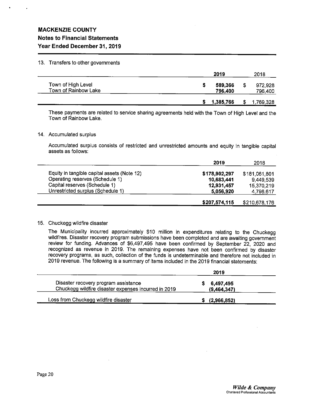#### 13. Transfers to other governments

|                                            | 2019               | 2018               |
|--------------------------------------------|--------------------|--------------------|
| Town of High Level<br>Town of Rainbow Lake | 589,366<br>796,400 | 972,928<br>796,400 |
|                                            | 1,385,766          | 1,769,328          |

These payments are related to service sharing agreements held with the Town of High Level and the Town of Rainbow Lake.

#### 14. Accumulated surplus

Accumulated surplus consists of restricted and unrestricted amounts and equity in tangible capital assets as follows:

|                                             | 2019          | 2018          |
|---------------------------------------------|---------------|---------------|
| Equity in tangible capital assets (Note 12) | \$178,902,297 | \$181,061,801 |
| Operating reserves (Schedule 1)             | 10,683,441    | 9,449,539     |
| Capital reserves (Schedule 1)               | 12,931,457    | 15,370,219    |
| Unrestricted surplus (Schedule 1)           | 5,056,920     | 4,796,617     |
|                                             | \$207,574,115 | \$210,678,176 |

#### 15. Chuckegg wildfire disaster

The Municipality incurred approximately \$10 million in expenditures relating to the Chuckegg wildfires. Disaster recovery program submissions have been completed and are awaiting government review for funding. Advances of \$6,497,495 have been confirmed by September 22, 2020 and recognized as revenue in 2019. The remaining expenses have not been confirmed by disaster recovery programs, as such, collection of the funds is undeterminable and therefore not included in 2019 revenue. The following is a summary of items included in the 2019 financial statements:

|                                                                                              | 2019                     |
|----------------------------------------------------------------------------------------------|--------------------------|
| Disaster recovery program assistance<br>Chuckegg wildfire disaster expenses incurred in 2019 | 6,497,495<br>(9,464,347) |
| Loss from Chuckegg wildfire disaster                                                         | (2,966,852)              |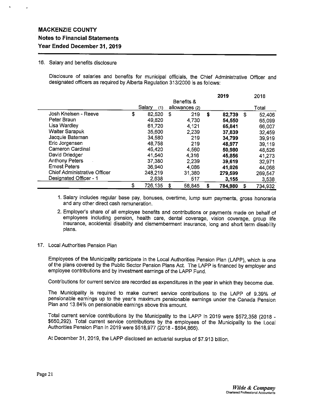#### 16. Salary and benefits disclosure

Disclosure of salaries and benefits for municipal officials, the Chief Administrative Officer and designated officers as required by Alberta Regulation 313/2000 is as follows:

|                                     |               |            |                |    | 2019    |    | 2018    |
|-------------------------------------|---------------|------------|----------------|----|---------|----|---------|
|                                     |               | Benefits & |                |    |         |    |         |
|                                     | Salary<br>(1) |            | allowances (2) |    |         |    | Total   |
| Josh Knelsen - Reeve                | \$<br>82,520  | S          | 219            | \$ | 82,739  | \$ | 52,406  |
| Peter Braun                         | 49,820        |            | 4,730          |    | 54,550  |    | 65,099  |
| Lisa Wardley                        | 61,720        |            | 4,121          |    | 65,841  |    | 66,007  |
| <b>Walter Sarapuk</b>               | 35,600        |            | 2,239          |    | 37,839  |    | 32.459  |
| Jacquie Bateman                     | 34,580        |            | 219            |    | 34,799  |    | 39,919  |
| Eric Jorgensen                      | 48,758        |            | 219            |    | 48,977  |    | 39,119  |
| Cameron Cardinal                    | 46,420        |            | 4,560          |    | 50,980  |    | 48,526  |
| David Driedger                      | 41,540        |            | 4,316          |    | 45,856  |    | 41.273  |
| <b>Anthony Peters</b>               | 37,380        |            | 2,239          |    | 39,619  |    | 32,971  |
| <b>Ernest Peters</b>                | 36,940        |            | 4,086          |    | 41,026  |    | 44,068  |
| <b>Chief Administrative Officer</b> | 248,219       |            | 31,380         |    | 279,599 |    | 269,547 |
| Designated Officer - 1              | 2,638         |            | 517            |    | 3,155   |    | 3.538   |
|                                     | \$<br>726,135 | S          | 58,845         | S  | 784,980 | \$ | 734.932 |

1. Salary includes regular base pay, bonuses, overtime, lump sum payments, gross honoraria and any other direct cash remuneration.

2. Employer's share of all employee benefits and contributions or payments made on behalf of employees including pension, health care, dental coverage, vision coverage, group life insurance, accidental disability and dismemberment insurance, long and short term disability plans.

#### 17. Local Authorities Pension Plan

Employees of the Municipality participate in the Local Authorities Pension Plan (LAPP), which is one of the plans covered by the Public Sector Pension Plans Act. The LAPP is financed by employer and employee contributions and by investment earnings of the LAPP Fund.

Contributions for current service are recorded as expenditures in the year in which they become due.

The Municipality is required to make current service contributions to the LAPP of 9.39% of pensionable earnings up to the year's maximum pensionable earnings under the Canada Pension Plan and 13.84% on pensionable earnings above this amount.

Total current service contributions by the Municipality to the LAPP in 2019 were \$572,358 (2018 - \$650,292). Total current service contributions by the employees of the Municipality to the Local Authorities Pension Plan in 2019 were \$518,977 (2018 - \$594,866).

At December 31, 2019, the LAPP disclosed an actuarial surplus of \$7.913 billion.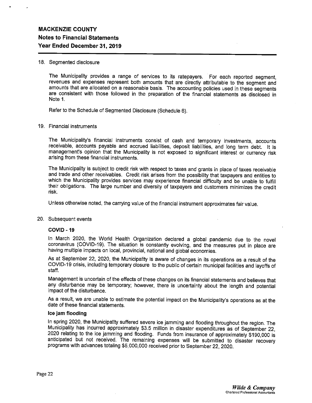#### 18. Segmented disclosure

The Municipality provides a range of services to its ratepayers. For each reported segment, revenues and expenses represent both amounts that are directly attributable to the segment and amounts that are allocated on a reasonable basis. The accounting policies used in these segments are consistent with those followed in the preparation of the financial statements as disclosed in Note 1.

Refer to the Schedule of Segmented Disclosure (Schedule 6).

#### 19. Financial instruments

The Municipality's financial instruments consist of cash and temporary investments, accounts receivable, accounts payable and accrued liabilities, deposit liabilities, and long term debt. It is management's opinion that the Municipality is not exposed to significant interest or currency risk arising from these financial instruments.

The Municipality is subject to credit risk with respect to taxes and grants in place of taxes receivable and trade and other receivables. Credit risk arises from the possibility that taxpayers and entities to which the Municipality provides services may experience financial difficulty and be unable to fulfill their obligations. The large number and diversity of taxpayers and customers minimizes the credit risk.

Unless otherwise noted, the carrying value of the financial instrument approximates fair value.

#### 20. Subsequent events

#### COVID -19

In March 2020, the World Health Organization declared a global pandemic due to the novel coronavirus (COVID-19). The situation is constantly evolving, and the measures put in place are having multiple impacts on local, provincial, national and global economies.

As at September 22, 2020, the Municipality is aware of changes in its operations as a result of the COVID-19 crisis, including temporary closure to the public of certain municipal facilities and layoffs of staff.

Management is uncertain of the effects of these changes on its financial statements and believes that any disturbance may be temporary; however, there is uncertainty about the length and potential impact of the disturbance.

As a result, we are unable to estimate the potential impact on the Municipality's operations as at the date of these financial statements.

#### Ice jam flooding

In spring 2020, the Municipality suffered severe ice jamming and flooding throughout the region. The Municipality has incurred approximately \$3.5 million in disaster expenditures as of September 22, 2020 relating to the ice jamming and flooding. Funds from insurance of approximately \$190,000 is anticipated but not received. The remaining expenses will be submitted to disaster recovery programs with advances totaling \$5,000,000 received prior to September 22, 2020.